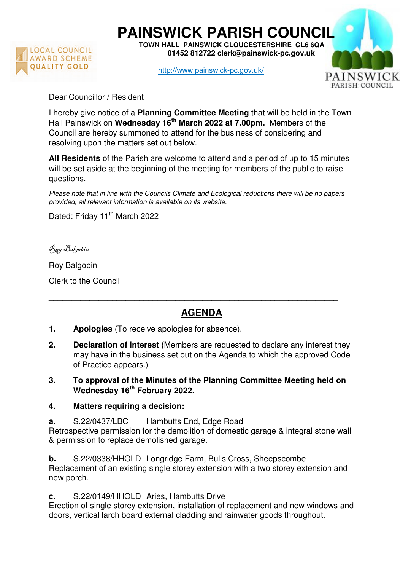

**PAINSWICK PARISH COUNCIL TOWN HALL PAINSWICK GLOUCESTERSHIRE GL6 6QA** 

 **01452 812722 clerk@painswick-pc.gov.uk** 

http://www.painswick-pc.gov.uk/



Dear Councillor / Resident

I hereby give notice of a **Planning Committee Meeting** that will be held in the Town Hall Painswick on **Wednesday 16th March 2022 at 7.00pm.** Members of the Council are hereby summoned to attend for the business of considering and resolving upon the matters set out below.

**All Residents** of the Parish are welcome to attend and a period of up to 15 minutes will be set aside at the beginning of the meeting for members of the public to raise questions.

Please note that in line with the Councils Climate and Ecological reductions there will be no papers provided, all relevant information is available on its website.

Dated: Friday 11<sup>th</sup> March 2022

Roy Balgobin

Roy Balgobin

Clerk to the Council

## **AGENDA**

\_\_\_\_\_\_\_\_\_\_\_\_\_\_\_\_\_\_\_\_\_\_\_\_\_\_\_\_\_\_\_\_\_\_\_\_\_\_\_\_\_\_\_\_\_\_\_\_\_\_\_\_\_\_\_\_\_\_\_\_\_\_\_\_

- **1. Apologies** (To receive apologies for absence).
- **2. Declaration of Interest (**Members are requested to declare any interest they may have in the business set out on the Agenda to which the approved Code of Practice appears.)
- **3. To approval of the Minutes of the Planning Committee Meeting held on Wednesday 16th February 2022.**
- **4. Matters requiring a decision:**
- **a**. S.22/0437/LBC Hambutts End, Edge Road

Retrospective permission for the demolition of domestic garage & integral stone wall & permission to replace demolished garage.

**b.** S.22/0338/HHOLD Longridge Farm, Bulls Cross, Sheepscombe Replacement of an existing single storey extension with a two storey extension and new porch.

**c.** S.22/0149/HHOLD Aries, Hambutts Drive

Erection of single storey extension, installation of replacement and new windows and doors, vertical larch board external cladding and rainwater goods throughout.